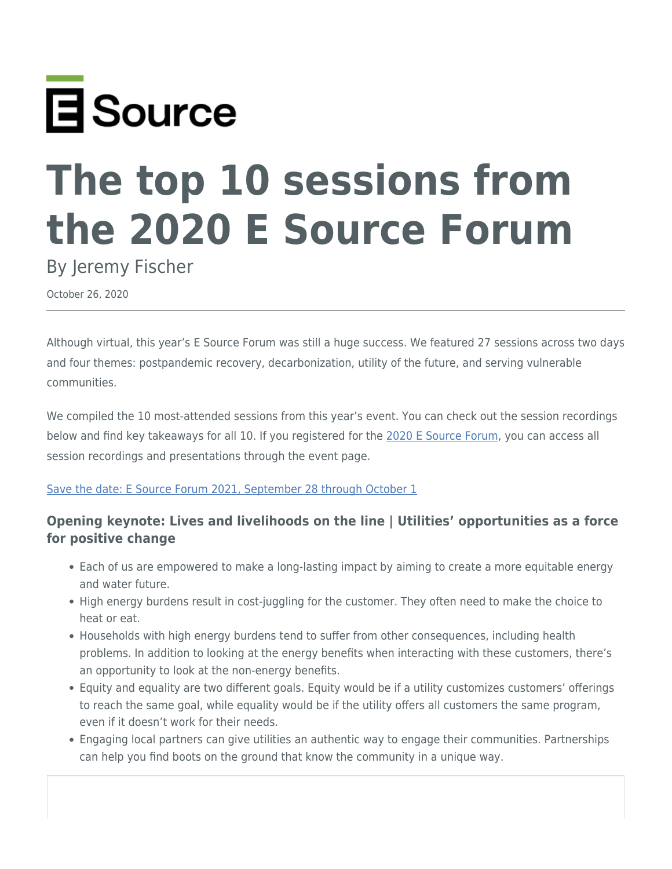

# **The top 10 sessions from the 2020 E Source Forum**

By Jeremy Fischer

October 26, 2020

Although virtual, this year's E Source Forum was still a huge success. We featured 27 sessions across two days and four themes: postpandemic recovery, decarbonization, utility of the future, and serving vulnerable communities.

We compiled the 10 most-attended sessions from this year's event. You can check out the session recordings below and find key takeaways for all 10. If you registered for the [2020 E Source Forum](https://www.esource.com/forum2020), you can access all session recordings and presentations through the event page.

#### [Save the date: E Source Forum 2021, September 28 through October 1](https://www.esource.com/forum2021)

# **Opening keynote: Lives and livelihoods on the line | Utilities' opportunities as a force for positive change**

- Each of us are empowered to make a long-lasting impact by aiming to create a more equitable energy and water future.
- High energy burdens result in cost-juggling for the customer. They often need to make the choice to heat or eat.
- Households with high energy burdens tend to suffer from other consequences, including health problems. In addition to looking at the energy benefits when interacting with these customers, there's an opportunity to look at the non-energy benefits.
- Equity and equality are two different goals. Equity would be if a utility customizes customers' offerings to reach the same goal, while equality would be if the utility offers all customers the same program, even if it doesn't work for their needs.
- Engaging local partners can give utilities an authentic way to engage their communities. Partnerships can help you find boots on the ground that know the community in a unique way.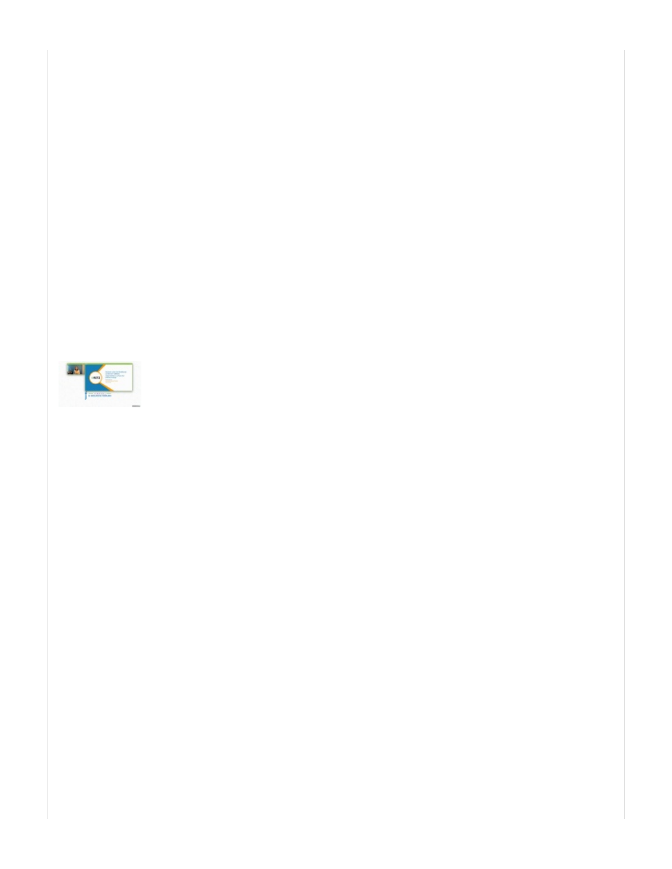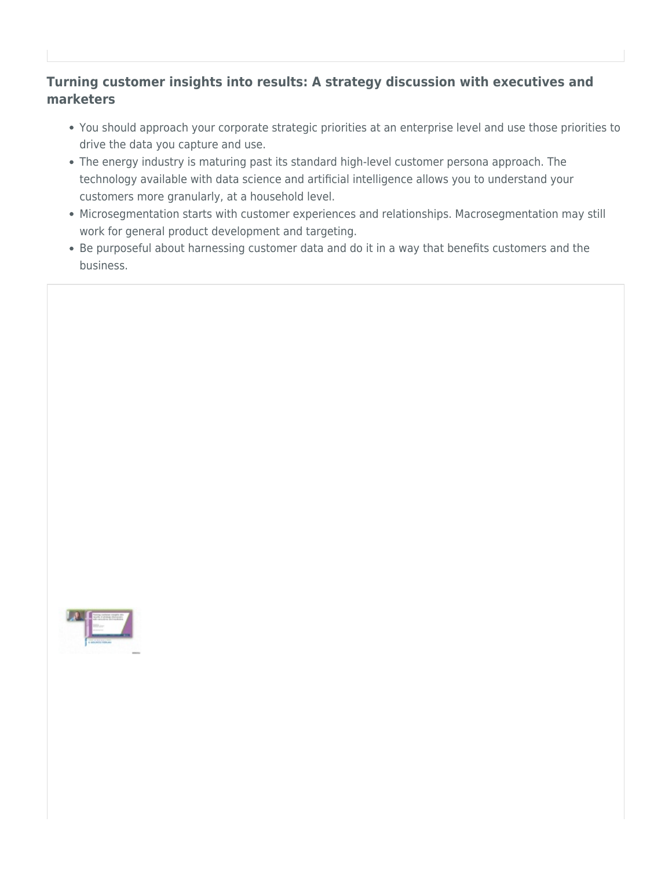# **Turning customer insights into results: A strategy discussion with executives and marketers**

- You should approach your corporate strategic priorities at an enterprise level and use those priorities to drive the data you capture and use.
- The energy industry is maturing past its standard high-level customer persona approach. The technology available with data science and artificial intelligence allows you to understand your customers more granularly, at a household level.
- Microsegmentation starts with customer experiences and relationships. Macrosegmentation may still work for general product development and targeting.
- Be purposeful about harnessing customer data and do it in a way that benefits customers and the business.

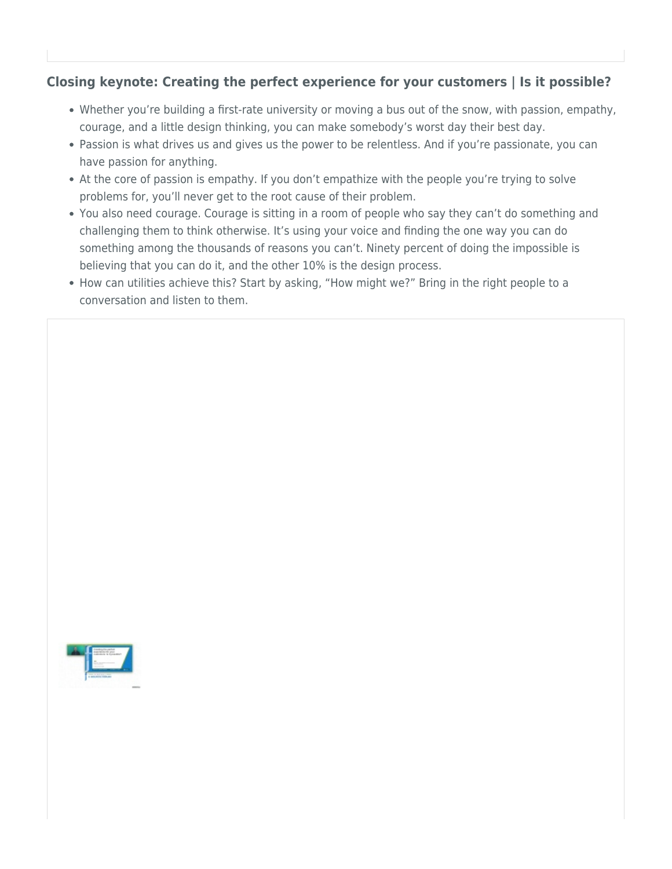## **Closing keynote: Creating the perfect experience for your customers | Is it possible?**

- Whether you're building a first-rate university or moving a bus out of the snow, with passion, empathy, courage, and a little design thinking, you can make somebody's worst day their best day.
- Passion is what drives us and gives us the power to be relentless. And if you're passionate, you can have passion for anything.
- At the core of passion is empathy. If you don't empathize with the people you're trying to solve problems for, you'll never get to the root cause of their problem.
- You also need courage. Courage is sitting in a room of people who say they can't do something and challenging them to think otherwise. It's using your voice and finding the one way you can do something among the thousands of reasons you can't. Ninety percent of doing the impossible is believing that you can do it, and the other 10% is the design process.
- How can utilities achieve this? Start by asking, "How might we?" Bring in the right people to a conversation and listen to them.

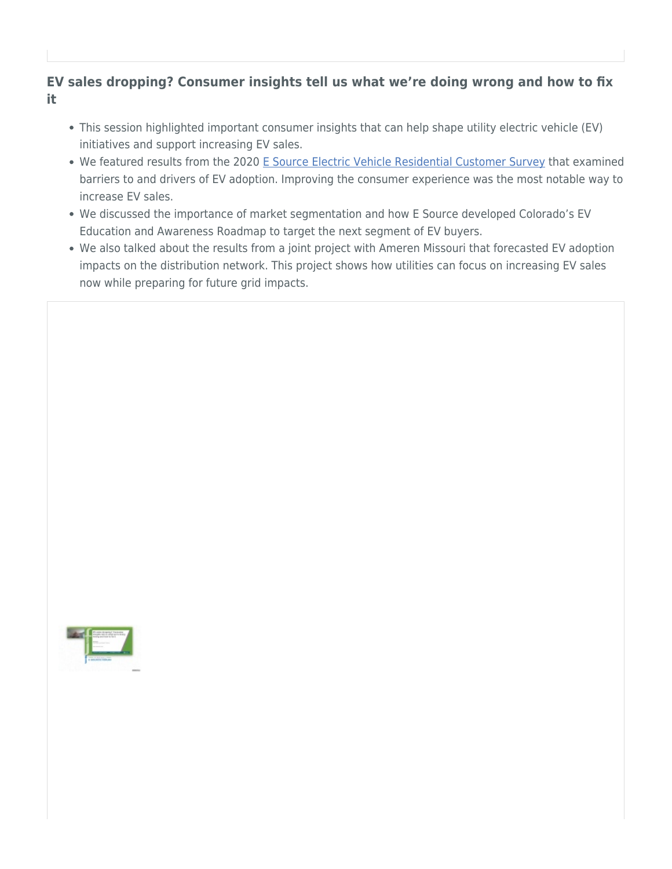# **EV sales dropping? Consumer insights tell us what we're doing wrong and how to fix it**

- This session highlighted important consumer insights that can help shape utility electric vehicle (EV) initiatives and support increasing EV sales.
- . We featured results from the 2020 [E Source Electric Vehicle Residential Customer Survey](https://www.esource.com/electric-vehicle-residential-customer-survey) that examined barriers to and drivers of EV adoption. Improving the consumer experience was the most notable way to increase EV sales.
- We discussed the importance of market segmentation and how E Source developed Colorado's EV Education and Awareness Roadmap to target the next segment of EV buyers.
- We also talked about the results from a joint project with Ameren Missouri that forecasted EV adoption impacts on the distribution network. This project shows how utilities can focus on increasing EV sales now while preparing for future grid impacts.

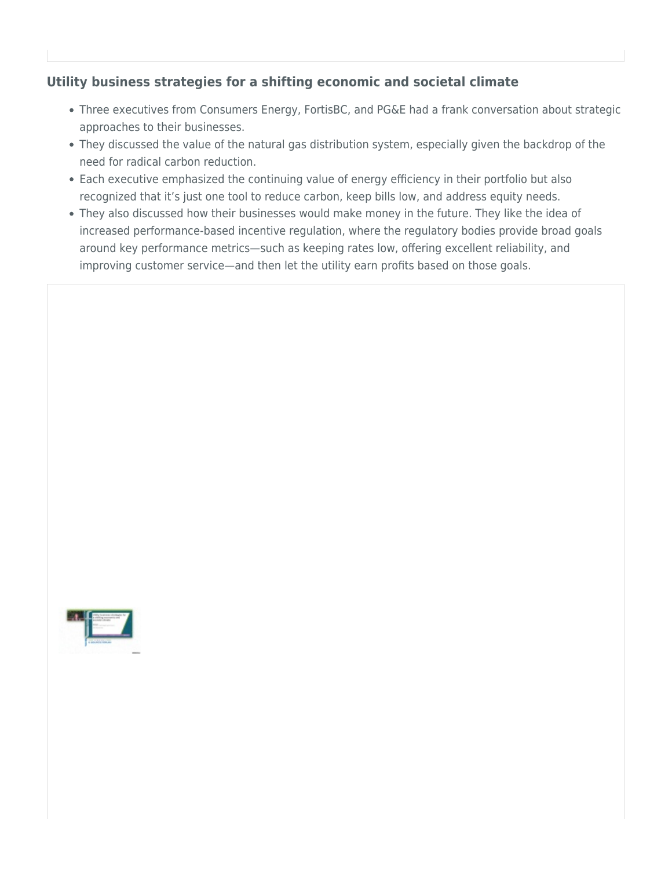## **Utility business strategies for a shifting economic and societal climate**

- Three executives from Consumers Energy, FortisBC, and PG&E had a frank conversation about strategic approaches to their businesses.
- They discussed the value of the natural gas distribution system, especially given the backdrop of the need for radical carbon reduction.
- Each executive emphasized the continuing value of energy efficiency in their portfolio but also recognized that it's just one tool to reduce carbon, keep bills low, and address equity needs.
- They also discussed how their businesses would make money in the future. They like the idea of increased performance-based incentive regulation, where the regulatory bodies provide broad goals around key performance metrics—such as keeping rates low, offering excellent reliability, and improving customer service—and then let the utility earn profits based on those goals.

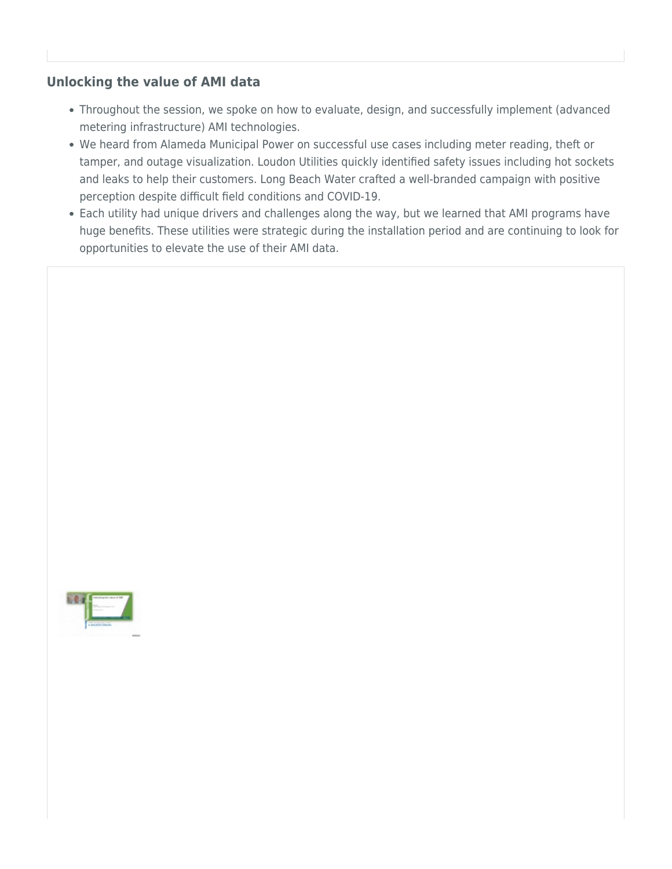#### **Unlocking the value of AMI data**

- Throughout the session, we spoke on how to evaluate, design, and successfully implement (advanced metering infrastructure) AMI technologies.
- We heard from Alameda Municipal Power on successful use cases including meter reading, theft or tamper, and outage visualization. Loudon Utilities quickly identified safety issues including hot sockets and leaks to help their customers. Long Beach Water crafted a well-branded campaign with positive perception despite difficult field conditions and COVID-19.
- Each utility had unique drivers and challenges along the way, but we learned that AMI programs have huge benefits. These utilities were strategic during the installation period and are continuing to look for opportunities to elevate the use of their AMI data.

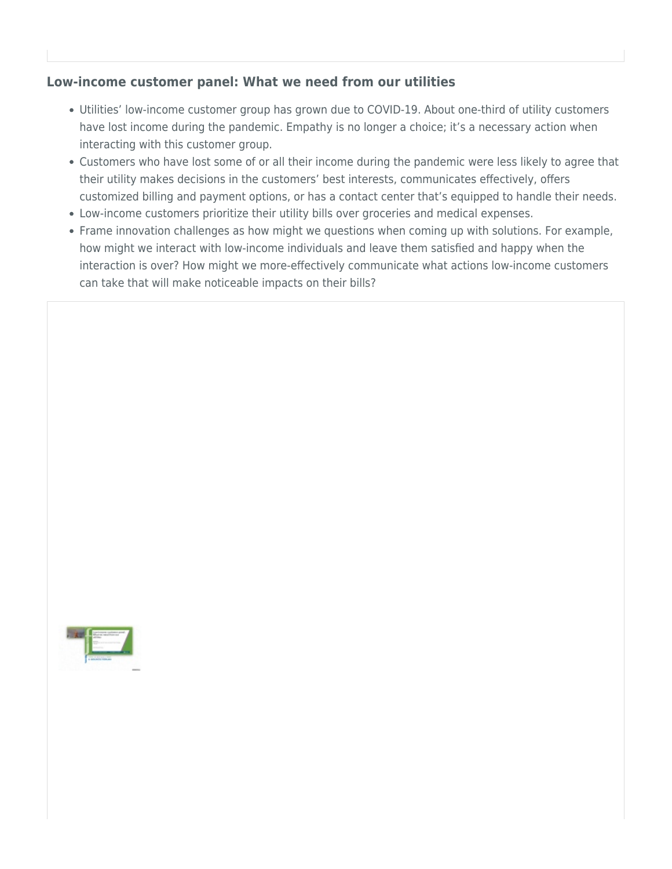#### **Low-income customer panel: What we need from our utilities**

- Utilities' low-income customer group has grown due to COVID-19. About one-third of utility customers have lost income during the pandemic. Empathy is no longer a choice; it's a necessary action when interacting with this customer group.
- Customers who have lost some of or all their income during the pandemic were less likely to agree that their utility makes decisions in the customers' best interests, communicates effectively, offers customized billing and payment options, or has a contact center that's equipped to handle their needs.
- Low-income customers prioritize their utility bills over groceries and medical expenses.
- Frame innovation challenges as how might we questions when coming up with solutions. For example, how might we interact with low-income individuals and leave them satisfied and happy when the interaction is over? How might we more-effectively communicate what actions low-income customers can take that will make noticeable impacts on their bills?

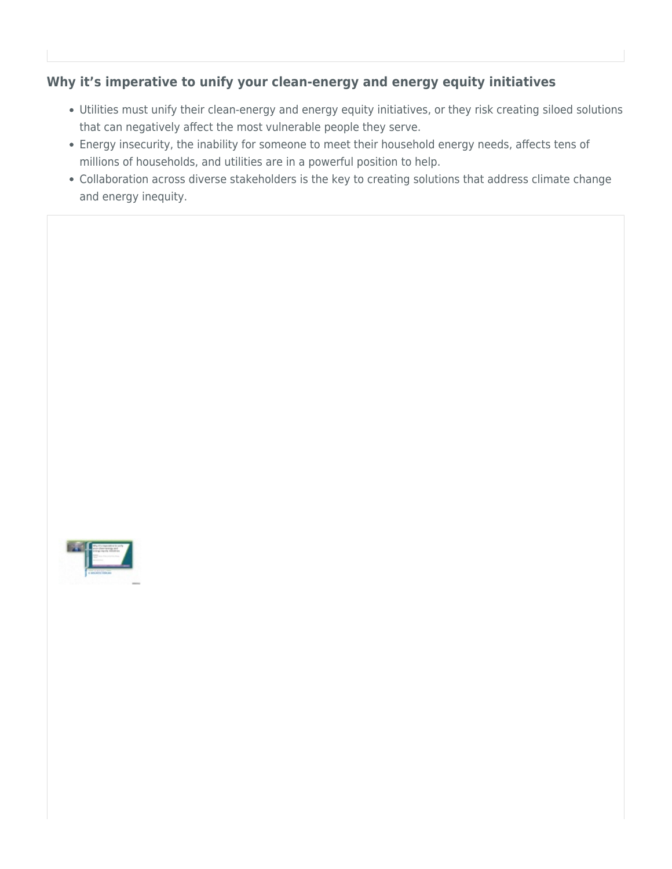# **Why it's imperative to unify your clean-energy and energy equity initiatives**

- Utilities must unify their clean-energy and energy equity initiatives, or they risk creating siloed solutions that can negatively affect the most vulnerable people they serve.
- Energy insecurity, the inability for someone to meet their household energy needs, affects tens of millions of households, and utilities are in a powerful position to help.
- Collaboration across diverse stakeholders is the key to creating solutions that address climate change and energy inequity.

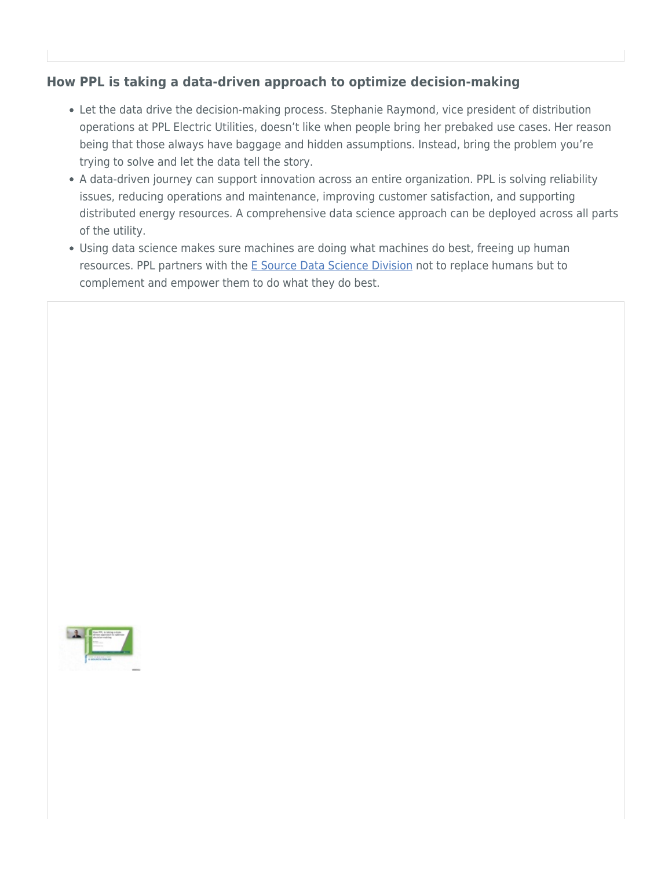### **How PPL is taking a data-driven approach to optimize decision-making**

- Let the data drive the decision-making process. Stephanie Raymond, vice president of distribution operations at PPL Electric Utilities, doesn't like when people bring her prebaked use cases. Her reason being that those always have baggage and hidden assumptions. Instead, bring the problem you're trying to solve and let the data tell the story.
- A data-driven journey can support innovation across an entire organization. PPL is solving reliability issues, reducing operations and maintenance, improving customer satisfaction, and supporting distributed energy resources. A comprehensive data science approach can be deployed across all parts of the utility.
- Using data science makes sure machines are doing what machines do best, freeing up human resources. PPL partners with the [E Source Data Science Division](https://www.esource.com/data-science) not to replace humans but to complement and empower them to do what they do best.